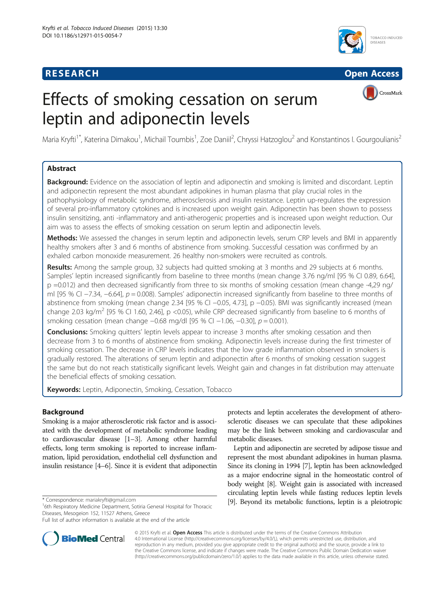# **RESEARCH RESEARCH** *CHECK CHECK CHECK CHECK CHECK CHECK CHECK CHECK CHECK CHECK CHECK CHECK CHECK CHECK CHECK CHECK CHECK CHECK CHECK CHECK CHECK CHECK CHECK CHECK CHECK CHECK CHECK CHECK CHECK CHECK CHECK CHECK CHECK*



CrossMark

# Effects of smoking cessation on serum leptin and adiponectin levels

Maria Kryfti<sup>1\*</sup>, Katerina Dimakou<sup>1</sup>, Michail Toumbis<sup>1</sup>, Zoe Daniil<sup>2</sup>, Chryssi Hatzoglou<sup>2</sup> and Konstantinos I. Gourgoulianis<sup>2</sup>

# Abstract

**Background:** Evidence on the association of leptin and adiponectin and smoking is limited and discordant. Leptin and adiponectin represent the most abundant adipokines in human plasma that play crucial roles in the pathophysiology of metabolic syndrome, atherosclerosis and insulin resistance. Leptin up-regulates the expression of several pro-inflammatory cytokines and is increased upon weight gain. Adiponectin has been shown to possess insulin sensitizing, anti -inflammatory and anti-atherogenic properties and is increased upon weight reduction. Our aim was to assess the effects of smoking cessation on serum leptin and adiponectin levels.

Methods: We assessed the changes in serum leptin and adiponectin levels, serum CRP levels and BMI in apparently healthy smokers after 3 and 6 months of abstinence from smoking. Successful cessation was confirmed by an exhaled carbon monoxide measurement. 26 healthy non-smokers were recruited as controls.

Results: Among the sample group, 32 subjects had quitted smoking at 3 months and 29 subjects at 6 months. Samples' leptin increased significantly from baseline to three months (mean change 3.76 ng/ml [95 % CI 0.89, 6.64], p =0.012) and then decreased significantly from three to six months of smoking cessation (mean change -4,29 ng/ ml [95 % CI −7.34, −6.64], p = 0.008). Samples' adiponectin increased significantly from baseline to three months of abstinence from smoking (mean change 2.34 [95 % CI −0.05, 4.73], p −0.05). BMI was significantly increased (mean change 2.03 kg/m<sup>2</sup> [95 % CI 1.60, 2.46], p <0.05), while CRP decreased significantly from baseline to 6 months of smoking cessation (mean change −0.68 mg/dl [95 % CI −1.06, −0.30], p = 0.001).

**Conclusions:** Smoking quitters' leptin levels appear to increase 3 months after smoking cessation and then decrease from 3 to 6 months of abstinence from smoking. Adiponectin levels increase during the first trimester of smoking cessation. The decrease in CRP levels indicates that the low grade inflammation observed in smokers is gradually restored. The alterations of serum leptin and adiponectin after 6 months of smoking cessation suggest the same but do not reach statistically significant levels. Weight gain and changes in fat distribution may attenuate the beneficial effects of smoking cessation.

Keywords: Leptin, Adiponectin, Smoking, Cessation, Tobacco

# Background

Smoking is a major atherosclerotic risk factor and is associated with the development of metabolic syndrome leading to cardiovascular disease [\[1](#page-5-0)–[3](#page-5-0)]. Among other harmful effects, long term smoking is reported to increase inflammation, lipid peroxidation, endothelial cell dysfunction and insulin resistance [\[4](#page-5-0)–[6](#page-5-0)]. Since it is evident that adiponectin



Leptin and adiponectin are secreted by adipose tissue and represent the most abundant adipokines in human plasma. Since its cloning in 1994 [[7](#page-5-0)], leptin has been acknowledged as a major endocrine signal in the homeostatic control of body weight [[8](#page-6-0)]. Weight gain is associated with increased circulating leptin levels while fasting reduces leptin levels \* Correspondence: mariakryfti@gmail.com [[9](#page-6-0)]. Beyond its metabolic functions, leptin is a pleiotropic



© 2015 Kryfti et al. Open Access This article is distributed under the terms of the Creative Commons Attribution 4.0 International License ([http://creativecommons.org/licenses/by/4.0/\),](http://creativecommons.org/licenses/by/4.0/)), which permits unrestricted use, distribution, and reproduction in any medium, provided you give appropriate credit to the original author(s) and the source, provide a link to the Creative Commons license, and indicate if changes were made. The Creative Commons Public Domain Dedication waiver [\(http://creativecommons.org/publicdomain/zero/1.0/](http://creativecommons.org/publicdomain/zero/1.0/)) applies to the data made available in this article, unless otherwise stated.

<sup>&</sup>lt;sup>1</sup>6th Respiratory Medicine Department, Sotiria General Hospital for Thoracic Diseases, Mesogeion 152, 11527 Athens, Greece

Full list of author information is available at the end of the article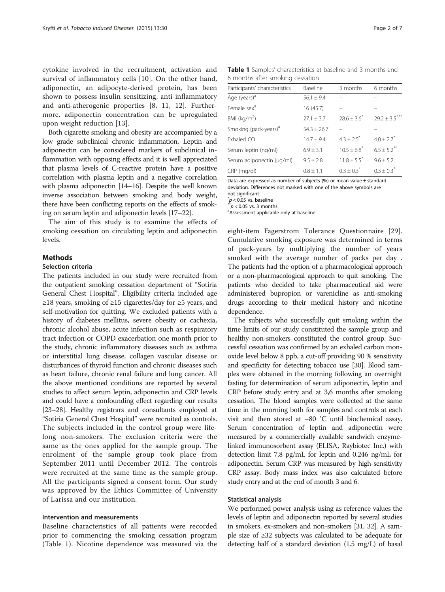<span id="page-1-0"></span>cytokine involved in the recruitment, activation and survival of inflammatory cells [[10](#page-6-0)]. On the other hand, adiponectin, an adipocyte-derived protein, has been shown to possess insulin sensitizing, anti-inflammatory and anti-atherogenic properties [\[8](#page-6-0), [11](#page-6-0), [12](#page-6-0)]. Furthermore, adiponectin concentration can be upregulated upon weight reduction [[13\]](#page-6-0).

Both cigarette smoking and obesity are accompanied by a low grade subclinical chronic inflammation. Leptin and adiponectin can be considered markers of subclinical inflammation with opposing effects and it is well appreciated that plasma levels of C-reactive protein have a positive correlation with plasma leptin and a negative correlation with plasma adiponectin [[14](#page-6-0)–[16](#page-6-0)]. Despite the well known inverse association between smoking and body weight, there have been conflicting reports on the effects of smoking on serum leptin and adiponectin levels [[17](#page-6-0)–[22](#page-6-0)].

The aim of this study is to examine the effects of smoking cessation on circulating leptin and adiponectin levels.

# **Methods**

#### Selection criteria

The patients included in our study were recruited from the outpatient smoking cessation department of "Sotiria General Chest Hospital". Eligibility criteria included age ≥18 years, smoking of ≥15 cigarettes/day for ≥5 years, and self-motivation for quitting. We excluded patients with a history of diabetes mellitus, severe obesity or cachexia, chronic alcohol abuse, acute infection such as respiratory tract infection or COPD exacerbation one month prior to the study, chronic inflammatory diseases such as asthma or interstitial lung disease, collagen vascular disease or disturbances of thyroid function and chronic diseases such as heart failure, chronic renal failure and lung cancer. All the above mentioned conditions are reported by several studies to affect serum leptin, adiponectin and CRP levels and could have a confounding effect regarding our results [[23](#page-6-0)–[28](#page-6-0)]. Healthy registrars and consultants employed at "Sotiria General Chest Hospital" were recruited as controls. The subjects included in the control group were lifelong non-smokers. The exclusion criteria were the same as the ones applied for the sample group. The enrolment of the sample group took place from September 2011 until December 2012. The controls were recruited at the same time as the sample group. All the participants signed a consent form. Our study was approved by the Ethics Committee of University of Larissa and our institution.

## Intervention and measurements

Baseline characteristics of all patients were recorded prior to commencing the smoking cessation program (Table 1). Nicotine dependence was measured via the

Table 1 Samples' characteristics at baseline and 3 months and 6 months after smoking cessation

| Participants' characteristics     | Baseline        | 3 months                    | 6 months                       |
|-----------------------------------|-----------------|-----------------------------|--------------------------------|
| Age (years) <sup>a</sup>          | $56.1 \pm 9.4$  |                             |                                |
| Female sex <sup>a</sup>           | 16 (45.7)       |                             |                                |
| BMI ( $kg/m2$ )                   | $27.1 \pm 3.7$  | $28.6 \pm 3.6$ <sup>*</sup> | $29.2 \pm 3.5$ <sup>*/**</sup> |
| Smoking (pack-years) <sup>a</sup> | $54.3 \pm 26.7$ |                             |                                |
| Exhaled CO                        | $14.7 \pm 9.4$  | $4.3 + 2.5$ <sup>*</sup>    | $4.0 \pm 2.7$ <sup>*</sup>     |
| Serum leptin (ng/ml)              | $6.9 \pm 3.1$   | $10.5 + 6.8^{*}$            | $6.5 \pm 5.2$ **               |
| Serum adiponectin (µg/ml)         | $9.5 + 2.8$     | $11.8 + 5.5^{*}$            | $9.6 \pm 5.2$                  |
| CRP (mg/dl)                       | $0.8 \pm 1.1$   | $0.3 \pm 0.3^*$             | $0.3 \pm 0.3$ <sup>*</sup>     |

Data are expressed as number of subjects (%) or mean value  $\pm$  standard deviation. Differences not marked with one of the above symbols are not significant

 $p < 0.05$  vs. baseline<br>  $\binom{p}{p} < 0.05$  vs. 3 months

<sup>a</sup> Assessment applicable only at baseline

eight-item Fagerstrom Tolerance Questionnaire [\[29](#page-6-0)]. Cumulative smoking exposure was determined in terms of pack-years by multiplying the number of years smoked with the average number of packs per day . The patients had the option of a pharmacological approach or a non-pharmacological approach to quit smoking. The patients who decided to take pharmaceutical aid were administered bupropion or varenicline as anti-smoking drugs according to their medical history and nicotine dependence.

The subjects who successfully quit smoking within the time limits of our study constituted the sample group and healthy non-smokers constituted the control group. Successful cessation was confirmed by an exhaled carbon monoxide level below 8 ppb, a cut-off providing 90 % sensitivity and specificity for detecting tobacco use [\[30\]](#page-6-0). Blood samples were obtained in the morning following an overnight fasting for determination of serum adiponectin, leptin and CRP before study entry and at 3,6 months after smoking cessation. The blood samples were collected at the same time in the morning both for samples and controls at each visit and then stored at −80 °C until biochemical assay. Serum concentration of leptin and adiponectin were measured by a commercially available sandwich enzymelinked immunosorbent assay (ELISA, Raybiotec Inc.) with detection limit 7.8 pg/mL for leptin and 0.246 ng/mL for adiponectin. Serum CRP was measured by high-sensitivity CRP assay. Body mass index was also calculated before study entry and at the end of month 3 and 6.

#### Statistical analysis

We performed power analysis using as reference values the levels of leptin and adiponectin reported by several studies in smokers, ex-smokers and non-smokers [\[31](#page-6-0), [32\]](#page-6-0). A sample size of ≥32 subjects was calculated to be adequate for detecting half of a standard deviation (1.5 mg/L) of basal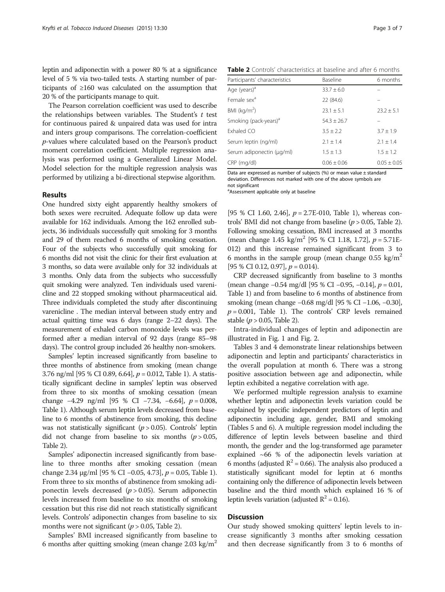leptin and adiponectin with a power 80 % at a significance level of 5 % via two-tailed tests. A starting number of participants of ≥160 was calculated on the assumption that 20 % of the participants manage to quit.

The Pearson correlation coefficient was used to describe the relationships between variables. The Student's  $t$  test for continuous paired & unpaired data was used for intra and inters group comparisons. The correlation-coefficient p-values where calculated based on the Pearson's product moment correlation coefficient. Multiple regression analysis was performed using a Generalized Linear Model. Model selection for the multiple regression analysis was performed by utilizing a bi-directional stepwise algorithm.

#### Results

One hundred sixty eight apparently healthy smokers of both sexes were recruited. Adequate follow up data were available for 162 individuals. Among the 162 enrolled subjects, 36 individuals successfully quit smoking for 3 months and 29 of them reached 6 months of smoking cessation. Four of the subjects who successfully quit smoking for 6 months did not visit the clinic for their first evaluation at 3 months, so data were available only for 32 individuals at 3 months. Only data from the subjects who successfully quit smoking were analyzed. Ten individuals used varenicline and 22 stopped smoking without pharmaceutical aid. Three individuals completed the study after discontinuing varenicline . The median interval between study entry and actual quitting time was 6 days (range 2–22 days). The measurement of exhaled carbon monoxide levels was performed after a median interval of 92 days (range 85–98 days). The control group included 26 healthy non-smokers.

Samples' leptin increased significantly from baseline to three months of abstinence from smoking (mean change 3.76 ng/ml [95 % CI 0.89, 6.64], p = 0.012, Table [1](#page-1-0)). A statistically significant decline in samples' leptin was observed from three to six months of smoking cessation (mean change −4.29 ng/ml [95 % CI −7.34, −6.64], p = 0.008, Table [1](#page-1-0)). Although serum leptin levels decreased from baseline to 6 months of abstinence from smoking, this decline was not statistically significant  $(p > 0.05)$ . Controls' leptin did not change from baseline to six months  $(p > 0.05,$ Table 2).

Samples' adiponectin increased significantly from baseline to three months after smoking cessation (mean change 2.34 μg/ml [95 % CI −0.05, 4.73],  $p = 0.05$ , Table [1](#page-1-0)). From three to six months of abstinence from smoking adiponectin levels decreased  $(p > 0.05)$ . Serum adiponectin levels increased from baseline to six months of smoking cessation but this rise did not reach statistically significant levels. Controls' adiponectin changes from baseline to six months were not significant ( $p > 0.05$ , Table 2).

Samples' BMI increased significantly from baseline to 6 months after quitting smoking (mean change 2.03 kg/m<sup>2</sup>

Table 2 Controls' characteristics at baseline and after 6 months

| Participants' characteristics     | Baseline      | 6 months      |
|-----------------------------------|---------------|---------------|
| Age (years) <sup>a</sup>          | $33.7 + 6.0$  |               |
| Female sex <sup>a</sup>           | 22 (84.6)     |               |
| BMI ( $kg/m2$ )                   | $23.1 + 5.1$  | $23.2 + 5.1$  |
| Smoking (pack-years) <sup>a</sup> | $54.3 + 26.7$ |               |
| Exhaled CO                        | $3.5 + 2.2$   | $3.7 \pm 1.9$ |
| Serum leptin (ng/ml)              | $2.1 + 1.4$   | $2.1 + 1.4$   |
| Serum adiponectin (µg/ml)         | $1.5 \pm 1.3$ | $1.5 \pm 1.2$ |
| CRP (mg/dl)                       | $0.06 + 0.06$ | $0.05 + 0.05$ |

Data are expressed as number of subjects (%) or mean value ± standard deviation. Differences not marked with one of the above symbols are not significant

<sup>a</sup>Assessment applicable only at baseline

[95 % CI [1](#page-1-0).60, 2.46],  $p = 2.7E-010$ , Table 1), whereas controls' BMI did not change from baseline  $(p > 0.05,$  Table 2). Following smoking cessation, BMI increased at 3 months (mean change 1.45 kg/m<sup>2</sup> [95 % CI 1.18, 1.72],  $p = 5.71E$ -012) and this increase remained significant from 3 to 6 months in the sample group (mean change  $0.55 \text{ kg/m}^2$ [95 % CI 0.12, 0.97],  $p = 0.014$ .

CRP decreased significantly from baseline to 3 months (mean change −0.54 mg/dl [95 % CI −0.95, −0.14], p = 0.01, Table [1\)](#page-1-0) and from baseline to 6 months of abstinence from smoking (mean change −0.68 mg/dl [95 % CI −1.06, −0.30],  $p = 0.001$ , Table [1](#page-1-0)). The controls' CRP levels remained stable ( $p > 0.05$ , Table 2).

Intra-individual changes of leptin and adiponectin are illustrated in Fig. [1](#page-3-0) and Fig. [2](#page-3-0).

Tables [3](#page-4-0) and [4](#page-4-0) demonstrate linear relationships between adiponectin and leptin and participants' characteristics in the overall population at month 6. There was a strong positive association between age and adiponectin, while leptin exhibited a negative correlation with age.

We performed multiple regression analysis to examine whether leptin and adiponectin levels variation could be explained by specific independent predictors of leptin and adiponectin including age, gender, BMI and smoking (Tables [5](#page-4-0) and [6\)](#page-4-0). A multiple regression model including the difference of leptin levels between baseline and third month, the gender and the log-transformed age parameter explained ~66 % of the adiponectin levels variation at 6 months (adjusted  $R^2$  = 0.66). The analysis also produced a statistically significant model for leptin at 6 months containing only the difference of adiponectin levels between baseline and the third month which explained 16 % of leptin levels variation (adjusted  $R^2 = 0.16$ ).

# **Discussion**

Our study showed smoking quitters' leptin levels to increase significantly 3 months after smoking cessation and then decrease significantly from 3 to 6 months of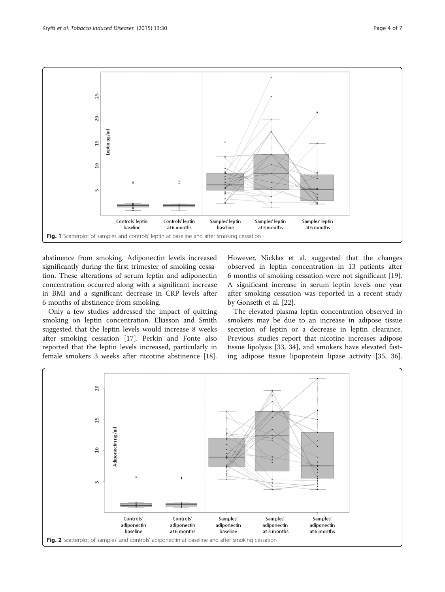<span id="page-3-0"></span>

abstinence from smoking. Adiponectin levels increased significantly during the first trimester of smoking cessation. These alterations of serum leptin and adiponectin concentration occurred along with a significant increase in BMI and a significant decrease in CRP levels after 6 months of abstinence from smoking.

Only a few studies addressed the impact of quitting smoking on leptin concentration. Eliasson and Smith suggested that the leptin levels would increase 8 weeks after smoking cessation [\[17](#page-6-0)]. Perkin and Fonte also reported that the leptin levels increased, particularly in female smokers 3 weeks after nicotine abstinence [\[18](#page-6-0)].

However, Nicklas et al. suggested that the changes observed in leptin concentration in 13 patients after 6 months of smoking cessation were not significant [\[19](#page-6-0)]. A significant increase in serum leptin levels one year after smoking cessation was reported in a recent study by Gonseth et al. [\[22](#page-6-0)].

The elevated plasma leptin concentration observed in smokers may be due to an increase in adipose tissue secretion of leptin or a decrease in leptin clearance. Previous studies report that nicotine increases adipose tissue lipolysis [[33, 34](#page-6-0)], and smokers have elevated fasting adipose tissue lipoprotein lipase activity [[35, 36](#page-6-0)].

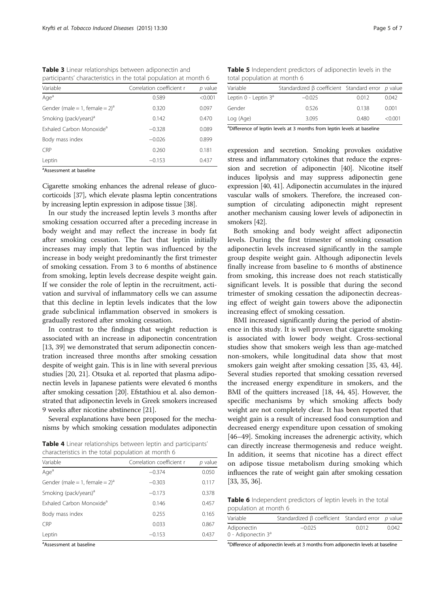<span id="page-4-0"></span>Table 3 Linear relationships between adiponectin and participants' characteristics in the total population at month 6

| Variable                             | Correlation coefficient r | p value |
|--------------------------------------|---------------------------|---------|
| Age <sup>a</sup>                     | 0.589                     | < 0.001 |
| Gender (male = 1, female = $2)^a$    | 0.320                     | 0.097   |
| Smoking (pack/years) <sup>a</sup>    | 0.142                     | 0.470   |
| Exhaled Carbon Monoxide <sup>a</sup> | $-0.328$                  | 0.089   |
| Body mass index                      | $-0.026$                  | 0.899   |
| <b>CRP</b>                           | 0.260                     | 0.181   |
| Leptin                               | $-0.153$                  | 0.437   |

<sup>a</sup>Assessment at baseline

Cigarette smoking enhances the adrenal release of glucocorticoids [\[37\]](#page-6-0), which elevate plasma leptin concentrations by increasing leptin expression in adipose tissue [\[38\]](#page-6-0).

In our study the increased leptin levels 3 months after smoking cessation occurred after a preceding increase in body weight and may reflect the increase in body fat after smoking cessation. The fact that leptin initially increases may imply that leptin was influenced by the increase in body weight predominantly the first trimester of smoking cessation. From 3 to 6 months of abstinence from smoking, leptin levels decrease despite weight gain. If we consider the role of leptin in the recruitment, activation and survival of inflammatory cells we can assume that this decline in leptin levels indicates that the low grade subclinical inflammation observed in smokers is gradually restored after smoking cessation.

In contrast to the findings that weight reduction is associated with an increase in adiponectin concentration [[13](#page-6-0), [39](#page-6-0)] we demonstrated that serum adiponectin concentration increased three months after smoking cessation despite of weight gain. This is in line with several previous studies [\[20](#page-6-0), [21\]](#page-6-0). Otsuka et al. reported that plasma adiponectin levels in Japanese patients were elevated 6 months after smoking cessation [\[20\]](#page-6-0). Efstathiou et al. also demonstrated that adiponectin levels in Greek smokers increased 9 weeks after nicotine abstinence [\[21\]](#page-6-0).

Several explanations have been proposed for the mechanisms by which smoking cessation modulates adiponectin

Table 4 Linear relationships between leptin and participants' characteristics in the total population at month 6

| Variable                             | Correlation coefficient r | $p$ value |  |
|--------------------------------------|---------------------------|-----------|--|
| Age <sup>a</sup>                     | $-0.374$                  | 0.050     |  |
| Gender (male = 1, female = $2)^a$    | $-0.303$                  | 0.117     |  |
| Smoking (pack/years) <sup>a</sup>    | $-0.173$                  | 0.378     |  |
| Exhaled Carbon Monoxide <sup>a</sup> | 0.146                     | 0.457     |  |
| Body mass index                      | 0.255                     | 0.165     |  |
| <b>CRP</b>                           | 0.033                     | 0.867     |  |
| Leptin                               | $-0.153$                  | 0.437     |  |

<sup>a</sup>Assessment at baseline

Table 5 Independent predictors of adiponectin levels in the total population at month 6

| Variable                  | Standardized $\beta$ coefficient Standard error $p$ value |       |         |
|---------------------------|-----------------------------------------------------------|-------|---------|
| Leptin $0$ - Leptin $3^a$ | $-0.025$                                                  | 0.012 | 0.042   |
| Gender                    | 0.526                                                     | 0.138 | 0.001   |
| Log (Age)                 | 3.095                                                     | 0.480 | < 0.001 |

<sup>a</sup>Difference of leptin levels at 3 months from leptin levels at baseline

expression and secretion. Smoking provokes oxidative stress and inflammatory cytokines that reduce the expression and secretion of adiponectin [\[40\]](#page-6-0). Nicotine itself induces lipolysis and may suppress adiponectin gene expression [[40](#page-6-0), [41](#page-6-0)]. Adiponectin accumulates in the injured vascular walls of smokers. Therefore, the increased consumption of circulating adiponectin might represent another mechanism causing lower levels of adiponectin in smokers [\[42](#page-6-0)].

Both smoking and body weight affect adiponectin levels. During the first trimester of smoking cessation adiponectin levels increased significantly in the sample group despite weight gain. Although adiponectin levels finally increase from baseline to 6 months of abstinence from smoking, this increase does not reach statistically significant levels. It is possible that during the second trimester of smoking cessation the adiponectin decreasing effect of weight gain towers above the adiponectin increasing effect of smoking cessation.

BMI increased significantly during the period of abstinence in this study. It is well proven that cigarette smoking is associated with lower body weight. Cross-sectional studies show that smokers weigh less than age-matched non-smokers, while longitudinal data show that most smokers gain weight after smoking cessation [\[35](#page-6-0), [43](#page-6-0), [44](#page-6-0)]. Several studies reported that smoking cessation reversed the increased energy expenditure in smokers, and the BMI of the quitters increased [\[18, 44, 45](#page-6-0)]. However, the specific mechanisms by which smoking affects body weight are not completely clear. It has been reported that weight gain is a result of increased food consumption and decreased energy expenditure upon cessation of smoking [[46](#page-6-0)–[49\]](#page-6-0). Smoking increases the adrenergic activity, which can directly increase thermogenesis and reduce weight. In addition, it seems that nicotine has a direct effect on adipose tissue metabolism during smoking which influences the rate of weight gain after smoking cessation [[33](#page-6-0), [35](#page-6-0), [36\]](#page-6-0).

Table 6 Independent predictors of leptin levels in the total population at month 6

| Variable                             | Standardized β coefficient Standard error p value |       |       |
|--------------------------------------|---------------------------------------------------|-------|-------|
| Adiponectin<br>0 - Adiponectin $3^a$ | $-0.025$                                          | 0.012 | 0.042 |

<sup>a</sup>Difference of adiponectin levels at 3 months from adiponectin levels at baseline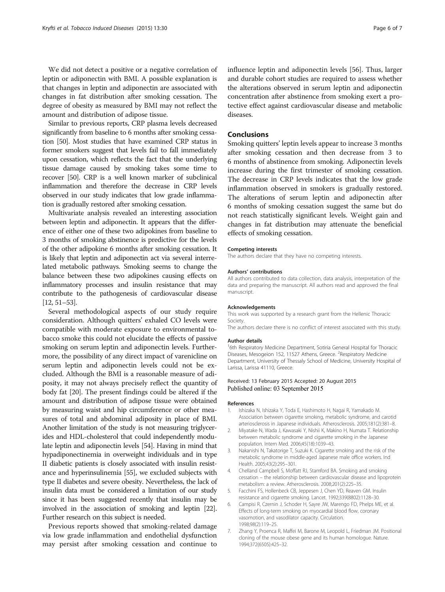<span id="page-5-0"></span>We did not detect a positive or a negative correlation of leptin or adiponectin with BMI. A possible explanation is that changes in leptin and adiponectin are associated with changes in fat distribution after smoking cessation. The degree of obesity as measured by BMI may not reflect the amount and distribution of adipose tissue.

Similar to previous reports, CRP plasma levels decreased significantly from baseline to 6 months after smoking cessation [\[50](#page-6-0)]. Most studies that have examined CRP status in former smokers suggest that levels fail to fall immediately upon cessation, which reflects the fact that the underlying tissue damage caused by smoking takes some time to recover [\[50\]](#page-6-0). CRP is a well known marker of subclinical inflammation and therefore the decrease in CRP levels observed in our study indicates that low grade inflammation is gradually restored after smoking cessation.

Multivariate analysis revealed an interesting association between leptin and adiponectin. It appears that the difference of either one of these two adipokines from baseline to 3 months of smoking abstinence is predictive for the levels of the other adipokine 6 months after smoking cessation. It is likely that leptin and adiponectin act via several interrelated metabolic pathways. Smoking seems to change the balance between these two adipokines causing effects on inflammatory processes and insulin resistance that may contribute to the pathogenesis of cardiovascular disease [[12](#page-6-0), [51](#page-6-0)–[53](#page-6-0)].

Several methodological aspects of our study require consideration. Although quitters' exhaled CO levels were compatible with moderate exposure to environmental tobacco smoke this could not elucidate the effects of passive smoking on serum leptin and adiponectin levels. Furthermore, the possibility of any direct impact of varenicline on serum leptin and adiponectin levels could not be excluded. Although the BMI is a reasonable measure of adiposity, it may not always precisely reflect the quantity of body fat [\[20\]](#page-6-0). The present findings could be altered if the amount and distribution of adipose tissue were obtained by measuring waist and hip circumference or other measures of total and abdominal adiposity in place of BMI. Another limitation of the study is not measuring triglycerides and HDL-cholesterol that could independently modulate leptin and adiponectin levels [\[54\]](#page-6-0). Having in mind that hypadiponectinemia in overweight individuals and in type II diabetic patients is closely associated with insulin resistance and hyperinsulinemia [\[55](#page-6-0)], we excluded subjects with type II diabetes and severe obesity. Nevertheless, the lack of insulin data must be considered a limitation of our study since it has been suggested recently that insulin may be involved in the association of smoking and leptin [\[22](#page-6-0)]. Further research on this subject is needed.

Previous reports showed that smoking-related damage via low grade inflammation and endothelial dysfunction may persist after smoking cessation and continue to influence leptin and adiponectin levels [\[56\]](#page-6-0). Thus, larger and durable cohort studies are required to assess whether the alterations observed in serum leptin and adiponectin concentration after abstinence from smoking exert a protective effect against cardiovascular disease and metabolic diseases.

# Conclusions

Smoking quitters' leptin levels appear to increase 3 months after smoking cessation and then decrease from 3 to 6 months of abstinence from smoking. Adiponectin levels increase during the first trimester of smoking cessation. The decrease in CRP levels indicates that the low grade inflammation observed in smokers is gradually restored. The alterations of serum leptin and adiponectin after 6 months of smoking cessation suggest the same but do not reach statistically significant levels. Weight gain and changes in fat distribution may attenuate the beneficial effects of smoking cessation.

#### Competing interests

The authors declare that they have no competing interests.

#### Authors' contributions

All authors contributed to data collection, data analysis, interpretation of the data and preparing the manuscript. All authors read and approved the final manuscript.

#### Acknowledgements

This work was supported by a research grant from the Hellenic Thoracic Society.

The authors declare there is no conflict of interest associated with this study.

#### Author details

<sup>1</sup>6th Respiratory Medicine Department, Sotiria General Hospital for Thoracic Diseases, Mesogeion 152, 11527 Athens, Greece. <sup>2</sup>Respiratory Medicine Department, University of Thessaly School of Medicine, University Hospital of Larissa, Larissa 41110, Greece.

## Received: 13 February 2015 Accepted: 20 August 2015 Published online: 03 September 2015

#### References

- 1. Ishizaka N, Ishizaka Y, Toda E, Hashimoto H, Nagai R, Yamakado M. Association between cigarette smoking, metabolic syndrome, and carotid arteriosclerosis in Japanese individuals. Atherosclerosis. 2005;181(2):381–8.
- 2. Miyatake N, Wada J, Kawasaki Y, Nishii K, Makino H, Numata T. Relationship between metabolic syndrome and cigarette smoking in the Japanese population. Intern Med. 2006;45(18):1039–43.
- 3. Nakanishi N, Takatorige T, Suzuki K. Cigarette smoking and the risk of the metabolic syndrome in middle-aged Japanese male office workers. Ind Health. 2005;43(2):295–301.
- 4. Chelland Campbell S, Moffatt RJ, Stamford BA. Smoking and smoking cessation – the relationship between cardiovascular disease and lipoprotein metabolism: a review. Atherosclerosis. 2008;201(2):225–35.
- 5. Facchini FS, Hollenbeck CB, Jeppesen J, Chen YD, Reaven GM. Insulin resistance and cigarette smoking. Lancet. 1992;339(8802):1128–30.
- 6. Campisi R, Czernin J, Schoder H, Sayre JW, Marengo FD, Phelps ME, et al. Effects of long-term smoking on myocardial blood flow, coronary vasomotion, and vasodilator capacity. Circulation. 1998;98(2):119–25.
- 7. Zhang Y, Proenca R, Maffei M, Barone M, Leopold L, Friedman JM. Positional cloning of the mouse obese gene and its human homologue. Nature. 1994;372(6505):425–32.